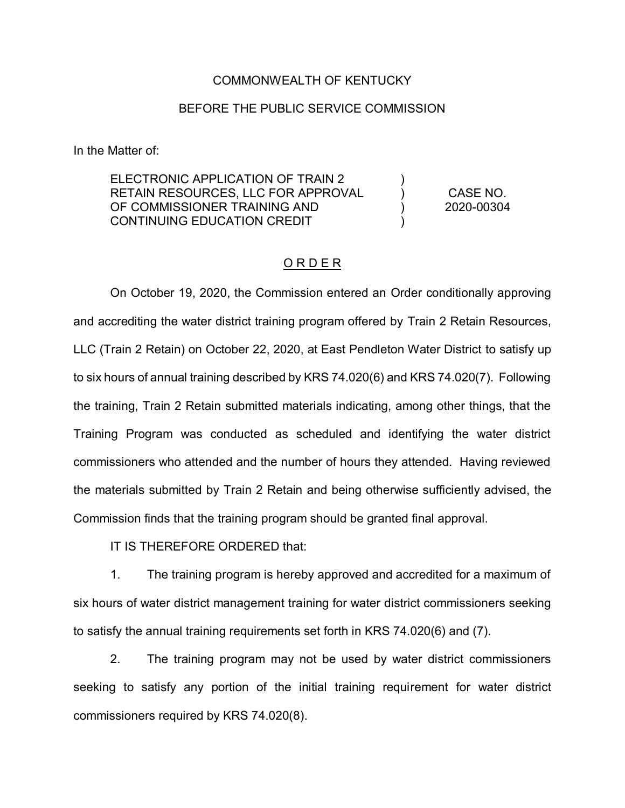## COMMONWEALTH OF KENTUCKY

## BEFORE THE PUBLIC SERVICE COMMISSION

In the Matter of:

| ELECTRONIC APPLICATION OF TRAIN 2  |  |                        |
|------------------------------------|--|------------------------|
| RETAIN RESOURCES. LLC FOR APPROVAL |  | CASE NO.<br>2020-00304 |
| OF COMMISSIONER TRAINING AND       |  |                        |
| CONTINUING EDUCATION CREDIT        |  |                        |

## ORDER

On October 19, 2020, the Commission entered an Order conditionally approving and accrediting the water district training program offered by Train 2 Retain Resources, LLC (Train 2 Retain) on October 22, 2020, at East Pendleton Water District to satisfy up to six hours of annual training described by KRS 74.020(6) and KRS 74.020(7). Following the training, Train 2 Retain submitted materials indicating, among other things, that the Training Program was conducted as scheduled and identifying the water district commissioners who attended and the number of hours they attended. Having reviewed the materials submitted by Train 2 Retain and being otherwise sufficiently advised, the Commission finds that the training program should be granted final approval.

IT IS THEREFORE ORDERED that:

1. The training program is hereby approved and accredited for a maximum of six hours of water district management training for water district commissioners seeking to satisfy the annual training requirements set forth in KRS 74.020(6) and (7).

2. The training program may not be used by water district commissioners seeking to satisfy any portion of the initial training requirement for water district commissioners required by KRS 74.020(8).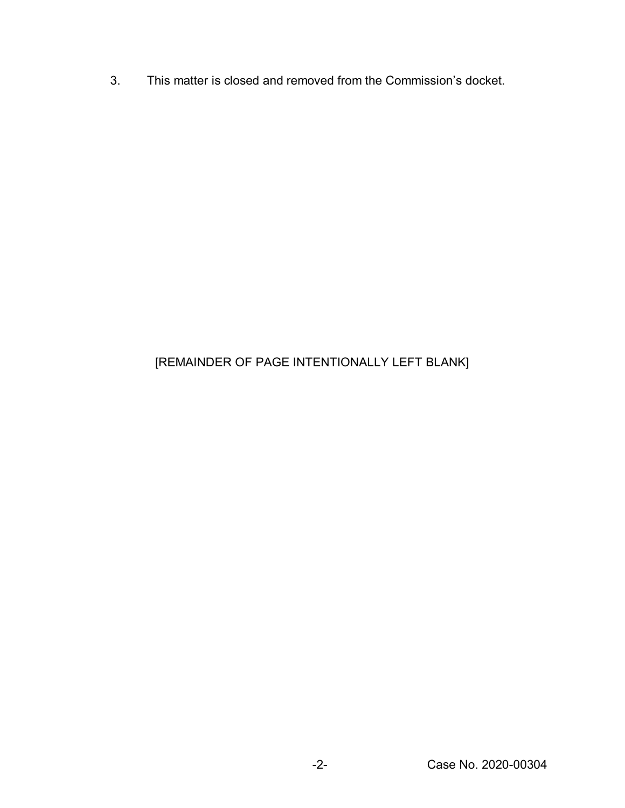3. This matter is closed and removed from the Commission's docket.

## [REMAINDER OF PAGE INTENTIONALLY LEFT BLANK]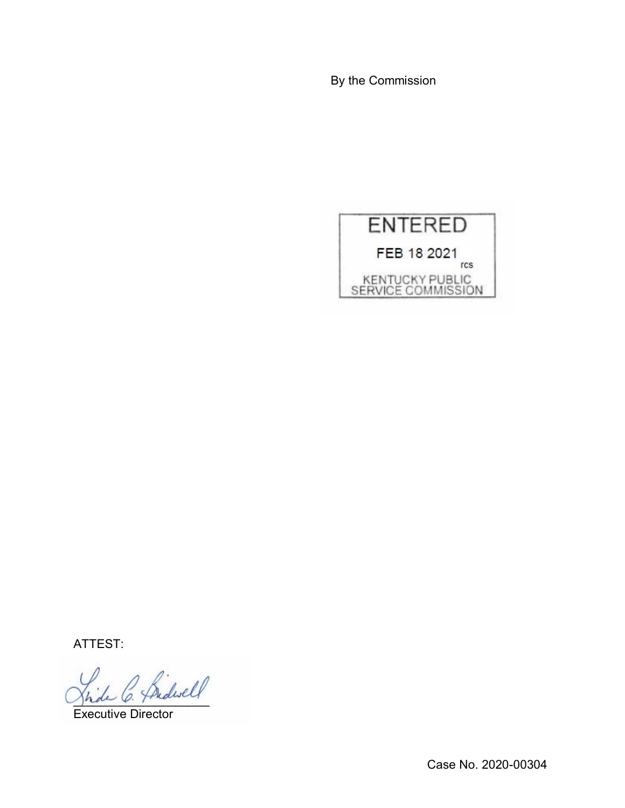By the Commission



ATTEST:

2 Bidwell

Executive Director